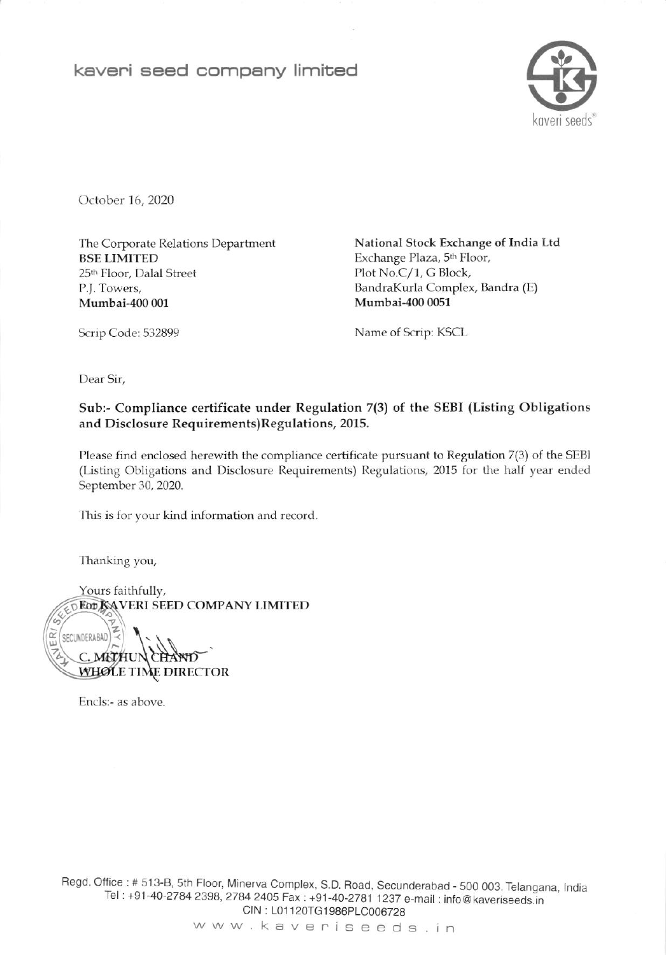kaveri seed company limited



October 16, 2020

The Corporate Relations Department **BSE LIMITED** 25th Floor, Dalal Street P.J. Towers, Mumbai-400 001

National Stock Exchange of India Ltd Exchange Plaza, 5<sup>th</sup> Floor, Plot No.C/1, G Block, BandraKurla Complex, Bandra (E) Mumbai-400 0051

Scrip Code: 532899

Name of Scrip: KSCL

Dear Sir,

## Sub:- Compliance certificate under Regulation 7(3) of the SEBI (Listing Obligations and Disclosure Requirements)Regulations, 2015.

Please find enclosed herewith the compliance certificate pursuant to Regulation 7(3) of the SEBI (Listing Obligations and Disclosure Requirements) Regulations, 2015 for the half year ended September 30, 2020.

This is for your kind information and record.

Thanking you,

Yours faithfully, **DEOD KAVERI SEED COMPANY LIMITED** G, SECUNDERABAD WHOLE TIME DIRECTOR

Encls:- as above.

Regd. Office: # 513-B, 5th Floor, Minerva Complex, S.D. Road, Secunderabad - 500 003. Telangana, India Tel: +91-40-2784 2398, 2784 2405 Fax: +91-40-2781 1237 e-mail: info@kaveriseeds.in CIN: L01120TG1986PLC006728